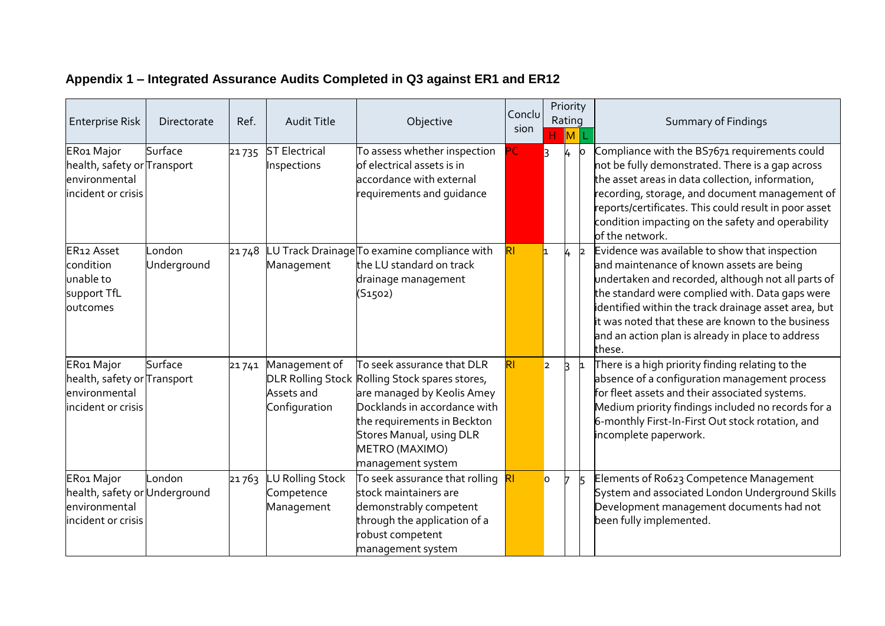| <b>Enterprise Risk</b>                                                                        | Directorate           | Ref.  | <b>Audit Title</b>                                 | Objective                                                                                                                                                                                                                                           | Conclu<br>sion | н                       | Priority<br>Rating<br>ML |              | <b>Summary of Findings</b>                                                                                                                                                                                                                                                                                                                                                       |
|-----------------------------------------------------------------------------------------------|-----------------------|-------|----------------------------------------------------|-----------------------------------------------------------------------------------------------------------------------------------------------------------------------------------------------------------------------------------------------------|----------------|-------------------------|--------------------------|--------------|----------------------------------------------------------------------------------------------------------------------------------------------------------------------------------------------------------------------------------------------------------------------------------------------------------------------------------------------------------------------------------|
| ER01 Major<br>health, safety or <mark>Transport</mark><br>environmental<br>incident or crisis | Surface               | 21735 | <b>ST Electrical</b><br>Inspections                | To assess whether inspection<br>$\operatorname{\sf of}$ electrical assets is in<br>accordance with external<br>requirements and quidance                                                                                                            | PС             | k                       | 4                        | O.           | Compliance with the BS7671 requirements could<br>not be fully demonstrated. There is a gap across<br>the asset areas in data collection, information,<br>recording, storage, and document management of<br>reports/certificates. This could result in poor asset<br>condition impacting on the safety and operability<br>of the network.                                         |
| ER12 Asset<br>condition<br>unable to<br>support TfL<br>outcomes                               | .ondon<br>Underground | 21748 | Management                                         | LU Track Drainage $\mathsf T$ o examine compliance with<br>the LU standard on track<br>drainage management<br>(S1502)                                                                                                                               | R <sub>l</sub> |                         | 4                        | $\mathsf{b}$ | Evidence was available to show that inspection<br>and maintenance of known assets are being<br>undertaken and recorded, although not all parts of<br>the standard were complied with. Data gaps were<br>identified within the track drainage asset area, but<br>it was noted that these are known to the business<br>and an action plan is already in place to address<br>these. |
| ER01 Major<br>health, safety or Transport<br>environmental<br>incident or crisis              | Surface               | 21741 | Management of<br>Assets and<br>Configuration       | To seek assurance that DLR<br>DLR Rolling Stock Rolling Stock spares stores,<br>are managed by Keolis Amey<br>Docklands in accordance with<br>the requirements in Beckton<br><b>Stores Manual, using DLR</b><br>METRO (MAXIMO)<br>management system | RI             | $\overline{\mathbf{z}}$ | B.                       | 1            | There is a high priority finding relating to the<br>absence of a configuration management process<br>for fleet assets and their associated systems.<br>Medium priority findings included no records for a<br>6-monthly First-In-First Out stock rotation, and<br>incomplete paperwork.                                                                                           |
| ER01 Major<br>health, safety or Underground<br>environmental<br>incident or crisis            | .ondon                | 21763 | <b>U Rolling Stock</b><br>Competence<br>Management | To seek assurance that rolling<br>stock maintainers are<br>demonstrably competent<br>through the application of a<br>obust competent<br>management system                                                                                           |                | $\overline{O}$          |                          |              | Elements of Ro623 Competence Management<br>System and associated London Underground Skills<br>Development management documents had not<br>been fully implemented.                                                                                                                                                                                                                |

## **Appendix 1 – Integrated Assurance Audits Completed in Q3 against ER1 and ER12**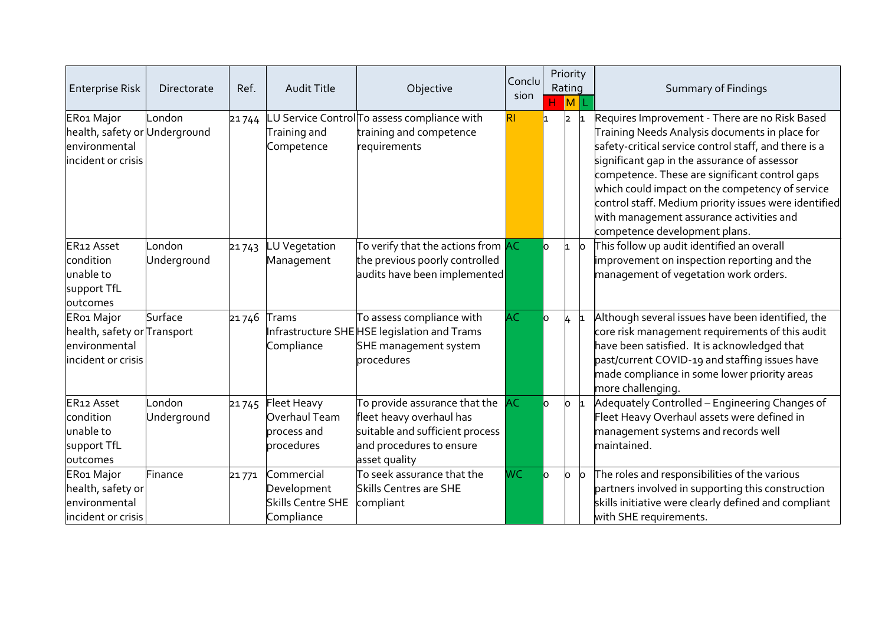| <b>Enterprise Risk</b>                                                             | Directorate           | Ref.          | <b>Audit Title</b>                                                  | Objective                                                                                                                                 | Conclu<br>sion | H.        | Priority<br>Rating<br>$\ M\ $ |           | Summary of Findings                                                                                                                                                                                                                                                                                                                                                                                                                                  |
|------------------------------------------------------------------------------------|-----------------------|---------------|---------------------------------------------------------------------|-------------------------------------------------------------------------------------------------------------------------------------------|----------------|-----------|-------------------------------|-----------|------------------------------------------------------------------------------------------------------------------------------------------------------------------------------------------------------------------------------------------------------------------------------------------------------------------------------------------------------------------------------------------------------------------------------------------------------|
| ER01 Major<br>health, safety or Underground<br>environmental<br>incident or crisis | London                | 21744         | Training and<br>Competence                                          | LU Service Control To assess compliance with<br>training and competence<br>requirements                                                   | RI             |           | I2                            |           | Requires Improvement - There are no Risk Based<br>Training Needs Analysis documents in place for<br>safety-critical service control staff, and there is a<br>significant gap in the assurance of assessor<br>competence. These are significant control gaps<br>which could impact on the competency of service<br>control staff. Medium priority issues were identified<br>with management assurance activities and<br>competence development plans. |
| ER12 Asset<br>condition<br>unable to<br>support TfL<br>outcomes                    | .ondon<br>Underground | 21743         | <b>LU</b> Vegetation<br>Management                                  | To verify that the actions from AC<br>the previous poorly controlled<br>audits have been implemented                                      |                | lo.       | h.                            | lo        | This follow up audit identified an overall<br>improvement on inspection reporting and the<br>management of vegetation work orders.                                                                                                                                                                                                                                                                                                                   |
| ER01 Major<br>health, safety or Transport<br>environmental<br>incident or crisis   | Surface               | $21746$ Trams | Compliance                                                          | To assess compliance with<br>Infrastructure SHE HSE legislation and Trams<br>SHE management system<br>procedures                          | <b>AC</b>      | lo.       | 4                             |           | Although several issues have been identified, the<br>core risk management requirements of this audit<br>have been satisfied. It is acknowledged that<br>past/current COVID-19 and staffing issues have<br>made compliance in some lower priority areas<br>more challenging.                                                                                                                                                                          |
| ER12 Asset<br>condition<br>unable to<br>support TfL<br>outcomes                    | _ondon<br>Underground | 21745         | Fleet Heavy<br>Overhaul Team<br>process and<br>procedures           | To provide assurance that the<br>fleet heavy overhaul has<br>suitable and sufficient process<br>and procedures to ensure<br>asset quality | <b>AC</b>      | lo.       | lo.                           |           | Adequately Controlled - Engineering Changes of<br>Fleet Heavy Overhaul assets were defined in<br>management systems and records well<br>maintained.                                                                                                                                                                                                                                                                                                  |
| ER01 Major<br>health, safety or<br>environmental<br>incident or crisis             | Finance               | 21771         | Commercial<br>Development<br><b>Skills Centre SHE</b><br>Compliance | To seek assurance that the<br><b>Skills Centres are SHE</b><br>compliant                                                                  | <b>WC</b>      | <b>lo</b> | lo.                           | <b>lo</b> | The roles and responsibilities of the various<br>partners involved in supporting this construction<br>skills initiative were clearly defined and compliant<br>with SHE requirements.                                                                                                                                                                                                                                                                 |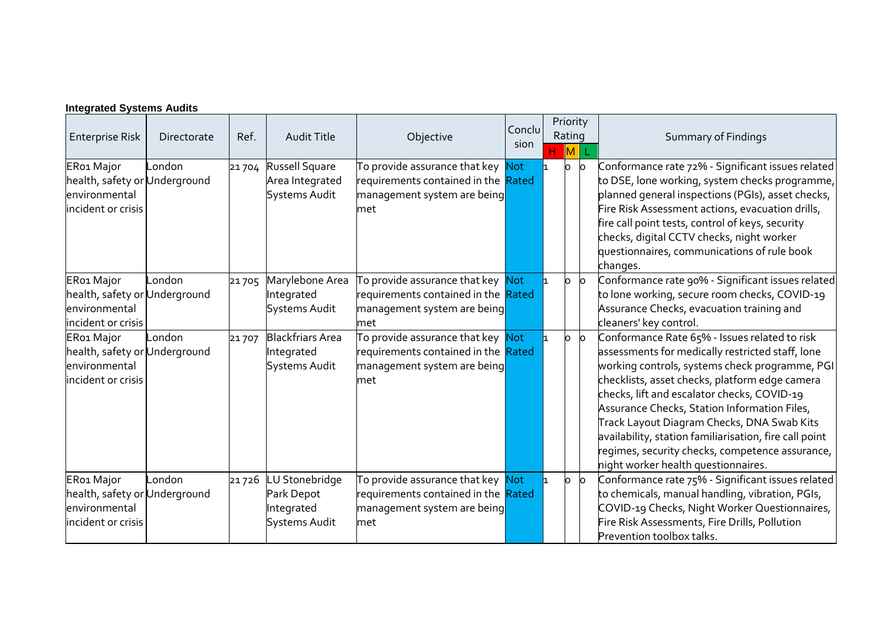| <b>Enterprise Risk</b>                                                             | Directorate | Ref.  | <b>Audit Title</b>                                                 | Objective                                                                                                      | Conclu<br>sion | Rating | <b>M</b> | Priority | Summary of Findings                                                                                                                                                                                                                                                                                                                                                                                                                                                                                   |
|------------------------------------------------------------------------------------|-------------|-------|--------------------------------------------------------------------|----------------------------------------------------------------------------------------------------------------|----------------|--------|----------|----------|-------------------------------------------------------------------------------------------------------------------------------------------------------------------------------------------------------------------------------------------------------------------------------------------------------------------------------------------------------------------------------------------------------------------------------------------------------------------------------------------------------|
| ER01 Major<br>health, safety or Underground<br>environmental<br>incident or crisis | .ondon      | 21704 | Russell Square<br>Area Integrated<br><b>Systems Audit</b>          | To provide assurance that key<br>requirements contained in the Rated<br>management system are being<br>met     | <b>Not</b>     |        |          | lo       | Conformance rate 72% - Significant issues related<br>to DSE, lone working, system checks programme,<br>olanned general inspections (PGIs), asset checks,<br>Fire Risk Assessment actions, evacuation drills,<br>fire call point tests, control of keys, security<br>checks, digital CCTV checks, night worker<br>questionnaires, communications of rule book<br>changes.                                                                                                                              |
| ER01 Major<br>health, safety or Underground<br>environmental<br>incident or crisis | .ondon      | 21705 | Marylebone Area<br>Integrated<br>Systems Audit                     | To provide assurance that key Mot<br>requirements contained in the Rated<br>management system are being<br>met |                |        | О        | $\circ$  | Conformance rate 90% - Significant issues related<br>to lone working, secure room checks, COVID-19<br>Assurance Checks, evacuation training and<br>cleaners' key control.                                                                                                                                                                                                                                                                                                                             |
| ER01 Major<br>health, safety or Underground<br>environmental<br>incident or crisis | _ondon      | 21707 | <b>Blackfriars Area</b><br>Integrated<br>Systems Audit             | To provide assurance that key Not<br>requirements contained in the Rated<br>management system are being<br>met |                |        | O        | $\circ$  | Conformance Rate 65% - Issues related to risk<br>assessments for medically restricted staff, lone<br>working controls, systems check programme, PGI<br>checklists, asset checks, platform edge camera<br>checks, lift and escalator checks, COVID-19<br>Assurance Checks, Station Information Files,<br>Track Layout Diagram Checks, DNA Swab Kits<br>availability, station familiarisation, fire call point<br>egimes, security checks, competence assurance,<br>night worker health questionnaires. |
| ER01 Major<br>health, safety or Underground<br>environmental<br>incident or crisis | .ondon      | 21726 | <b>LU Stonebridge</b><br>Park Depot<br>Integrated<br>Systems Audit | To provide assurance that key Not<br>requirements contained in the Rated<br>management system are being<br>met |                |        | O.       | $\circ$  | Conformance rate 75% - Significant issues related<br>o chemicals, manual handling, vibration, PGIs,<br>COVID-19 Checks, Night Worker Questionnaires,<br>Fire Risk Assessments, Fire Drills, Pollution<br>Prevention toolbox talks.                                                                                                                                                                                                                                                                    |

## **Integrated Systems Audits**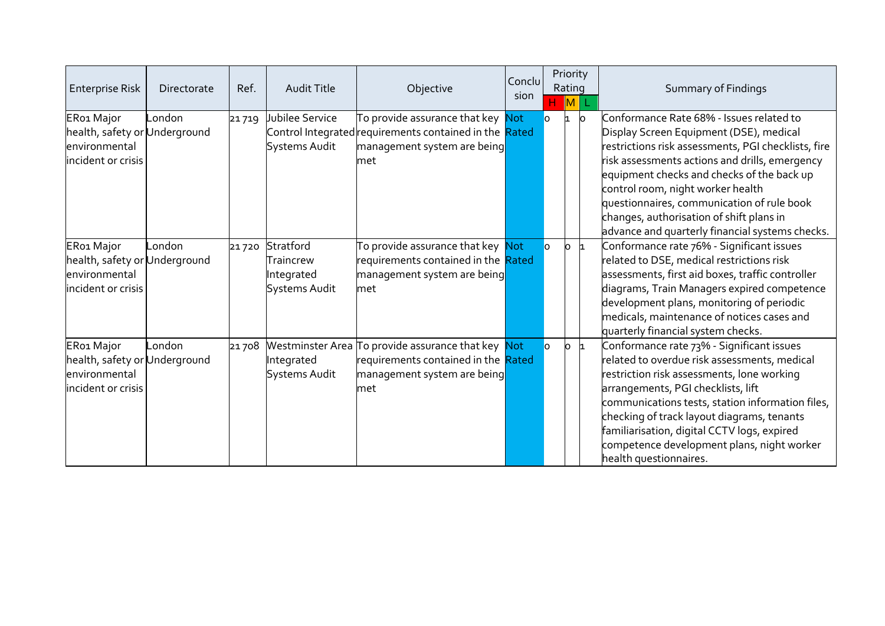| <b>Enterprise Risk</b>                                                             | Directorate | Ref.  | <b>Audit Title</b>                                           | Objective                                                                                                                         | Conclu<br>sion | H.             | Priority<br>Rating<br>$\overline{\mathsf{M}}$ |     | <b>Summary of Findings</b>                                                                                                                                                                                                                                                                                                                                                                                                   |
|------------------------------------------------------------------------------------|-------------|-------|--------------------------------------------------------------|-----------------------------------------------------------------------------------------------------------------------------------|----------------|----------------|-----------------------------------------------|-----|------------------------------------------------------------------------------------------------------------------------------------------------------------------------------------------------------------------------------------------------------------------------------------------------------------------------------------------------------------------------------------------------------------------------------|
| ER01 Major<br>health, safety or Underground<br>environmental<br>incident or crisis | London      | 21719 | Jubilee Service<br>Systems Audit                             | To provide assurance that key Not<br>Control Integrated requirements contained in the Rated<br>management system are being<br>met |                | n.             |                                               | lo. | Conformance Rate 68% - Issues related to<br>Display Screen Equipment (DSE), medical<br>restrictions risk assessments, PGI checklists, fire<br>risk assessments actions and drills, emergency<br>equipment checks and checks of the back up<br>control room, night worker health<br>questionnaires, communication of rule book<br>changes, authorisation of shift plans in<br>advance and quarterly financial systems checks. |
| ER01 Major<br>health, safety or Underground<br>environmental<br>incident or crisis | _ondon      | 21720 | Stratford<br>Traincrew<br>Integrated<br><b>Systems Audit</b> | To provide assurance that key Not<br>requirements contained in the Rated<br>management system are being<br>met                    |                | $\overline{O}$ | $\circ$                                       | h.  | Conformance rate 76% - Significant issues<br>related to DSE, medical restrictions risk<br>assessments, first aid boxes, traffic controller<br>diagrams, Train Managers expired competence<br>development plans, monitoring of periodic<br>medicals, maintenance of notices cases and<br>quarterly financial system checks.                                                                                                   |
| ER01 Major<br>health, safety or Underground<br>environmental<br>incident or crisis | London      | 21708 | Integrated<br>Systems Audit                                  | Westminster Area To provide assurance that key Not<br>requirements contained in the Rated<br>management system are being<br>lmet  |                | $\overline{O}$ | $\circ$                                       | h   | Conformance rate 73% - Significant issues<br>related to overdue risk assessments, medical<br>restriction risk assessments, lone working<br>arrangements, PGI checklists, lift<br>communications tests, station information files,<br>checking of track layout diagrams, tenants<br>familiarisation, digital CCTV logs, expired<br>competence development plans, night worker<br>health questionnaires.                       |